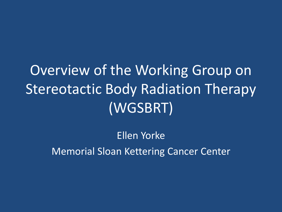Overview of the Working Group on Stereotactic Body Radiation Therapy (WGSBRT)

> Ellen Yorke Memorial Sloan Kettering Cancer Center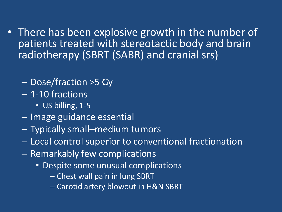- There has been explosive growth in the number of patients treated with stereotactic body and brain radiotherapy (SBRT (SABR) and cranial srs)
	- Dose/fraction >5 Gy
	- 1-10 fractions
		- US billing, 1-5
	- Image guidance essential
	- Typically small–medium tumors
	- Local control superior to conventional fractionation
	- Remarkably few complications
		- Despite some unusual complications
			- Chest wall pain in lung SBRT
			- Carotid artery blowout in H&N SBRT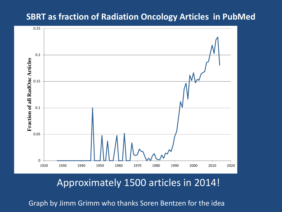### **SBRT as fraction of Radiation Oncology Articles in PubMed**



## Approximately 1500 articles in 2014!

Graph by Jimm Grimm who thanks Soren Bentzen for the idea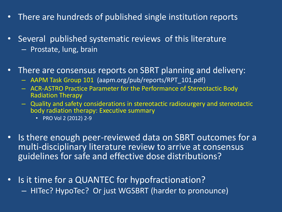- There are hundreds of published single institution reports
- Several published systematic reviews of this literature – Prostate, lung, brain
- There are consensus reports on SBRT planning and delivery:
	- AAPM Task Group 101 (aapm.org/pub/reports/RPT\_101.pdf)
	- ACR-ASTRO Practice Parameter for the Performance of Stereotactic Body Radiation Therapy
	- Quality and safety considerations in stereotactic radiosurgery and stereotactic body radiation therapy: Executive summary
		- PRO Vol 2 (2012) 2-9
- Is there enough peer-reviewed data on SBRT outcomes for a multi-disciplinary literature review to arrive at consensus guidelines for safe and effective dose distributions?
- Is it time for a QUANTEC for hypofractionation? – HITec? HypoTec? Or just WGSBRT (harder to pronounce)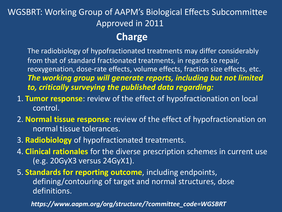## WGSBRT: Working Group of AAPM's Biological Effects Subcommittee Approved in 2011

## **Charge**

The radiobiology of hypofractionated treatments may differ considerably from that of standard fractionated treatments, in regards to repair, reoxygenation, dose-rate effects, volume effects, fraction size effects, etc. *The working group will generate reports, including but not limited to, critically surveying the published data regarding:* 

- 1. **Tumor response**: review of the effect of hypofractionation on local control.
- 2. **Normal tissue response**: review of the effect of hypofractionation on normal tissue tolerances.
- 3. **Radiobiology** of hypofractionated treatments.
- 4. **Clinical rationales** for the diverse prescription schemes in current use (e.g. 20GyX3 versus 24GyX1).

5. **Standards for reporting outcome**, including endpoints, defining/contouring of target and normal structures, dose definitions.

*https://www.aapm.org/org/structure/?committee\_code=WGSBRT*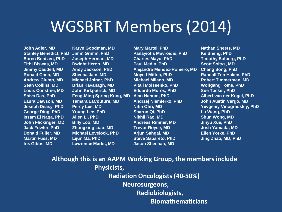## WGSBRT Members (2014)

**Iris Gibbs, MD Lawrence Marks, MD Jason Sheehan, MD**

**John Adler, MD Karyn Goodman, MD Mary Martel, PhD Nathan Sheets, MD Stanley Benedict, PhD Jimm Grimm, PhD Panayiotis Mavroidis, PhD Ke Sheng, PhD Soren Bentzen, PhD Joseph Herman, MD Charles Mayo, PhD Timothy Solberg, PhD Tithi Biswas, MD Dwight Heron, MD Paul Medin, PhD Scott Soltys, MD Jimmy Caudell, MD Andy Jackson, PhD Alejandra Mendez-Romero, MD Chang Song, PhD Ronald Chen, MD Sheena Jain, MD Moyed Miften, PhD Randall Ten Haken, PhD Andrew Clump, MD Michael Joiner, PhD Michael Milano, MD Robert Timmerman, MD Sean Collins, MD Brian Kavanagh, MD Vitali Moiseenko, PhD Wolfgang Tome, PhD Louis Constine, MD John Kirkpatrick, MD Eduardo Moros, PhD Sue Tucker, PhD Laura Dawson, MD Tamara LaCouture, MD Andrzej Niemierko, PhD John Austin Vargo, MD George Ding, PhD Young Lee, PhD Sharon Qi, PhD Lu Wang, PhD Issam El Naqa, PhD Allen Li, PhD Nikhil Rao, MD Shun Wong, MD John Flickinger, MD Billy Loo, MD Andreas Rimner, MD Jinyu Xue, PhD Jack Fowler, PhD Zhongxing Liao, MD Trevor Royce, MD Josh Yamada, MD Donald Fuller, MD Michael Lovelock, PhD Arjun Sahgal, MD Ellen Yorke, PhD Martin Fuss, MD Lijun Ma, PhD Steve Sapareto, PhD Jing Zhao, MD, PhD**

**Shiva Das, PhD Feng-Ming Spring Kong, MD Alan Nahum, PhD Albert van der Kogel, PhD Joseph Deasy, PhD Percy Lee, MD Nitin Ohri, MD Yevgeniy Vinogradskiy, PhD**

#### **Although this is an AAPM Working Group, the members include Physicists, Radiation Oncologists (40-50%) Neurosurgeons, Radiobiologists, Biomathematicians**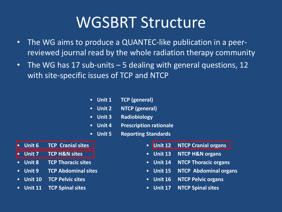# WGSBRT Structure

- The WG aims to produce a QUANTEC-like publication in a peerreviewed journal read by the whole radiation therapy community
- The WG has 17 sub-units 5 dealing with general questions, 12 with site-specific issues of TCP and NTCP
	- **Unit 1 TCP (general)**
	- **Unit 2 NTCP (general)**
	- **Unit 3 Radiobiology**
	- **Unit 4 Prescription rationale**
	- **Unit 5 Reporting Standards**
- **Unit 6 TCP Cranial sites**
- **Unit 7 TCP H&N sites**
- **Unit 8 TCP Thoracic sites**
- **Unit 9 TCP Abdominal sites**
- **Unit 10 TCP Pelvic sites**
- **Unit 11 TCP Spinal sites**
- **Unit 12 NTCP Cranial organs**
- **Unit 13 NTCP H&N organs**
- **Unit 14 NTCP Thoracic organs**
- **Unit 15 NTCP Abdominal organs**
- **Unit 16 NTCP Pelvic organs**
- **Unit 17 NTCP Spinal sites**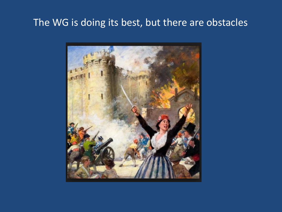## The WG is doing its best, but there are obstacles

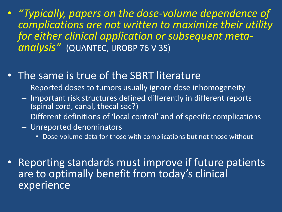- *"Typically, papers on the dose-volume dependence of complications are not written to maximize their utility for either clinical application or subsequent metaanalysis"* (QUANTEC, IJROBP 76 V 3S)
- The same is true of the SBRT literature
	- Reported doses to tumors usually ignore dose inhomogeneity
	- Important risk structures defined differently in different reports (spinal cord, canal, thecal sac?)
	- Different definitions of 'local control' and of specific complications
	- Unreported denominators
		- Dose-volume data for those with complications but not those without
- Reporting standards must improve if future patients are to optimally benefit from today's clinical experience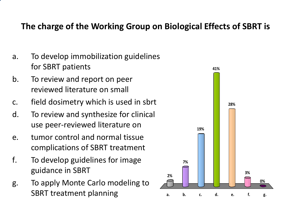### **The charge of the Working Group on Biological Effects of SBRT is**

- a. To develop immobilization guidelines for SBRT patients
- b. To review and report on peer reviewed literature on small
- c. field dosimetry which is used in sbrt
- d. To review and synthesize for clinical use peer-reviewed literature on
- e. tumor control and normal tissue complications of SBRT treatment
- f. To develop guidelines for image guidance in SBRT
- g. To apply Monte Carlo modeling to **Contract Carlo modeling to**  $\frac{1}{a}$  **b**  $\frac{1}{b}$  **c. d. e. f. g.**

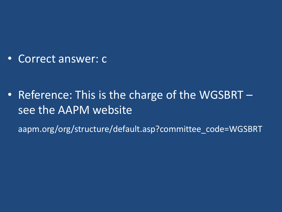• Correct answer: c

• Reference: This is the charge of the WGSBRT – see the AAPM website

aapm.org/org/structure/default.asp?committee\_code=WGSBRT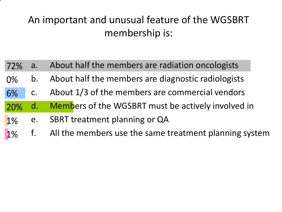## An important and unusual feature of the WGSBRT membership is:

- 72% a. About half the members are radiation oncologists
- 0% b. About half the members are diagnostic radiologists
- 6% c. About 1/3 of the members are commercial vendors
- 20% d. Members of the WGSBRT must be actively involved in
- 1% e. SBRT treatment planning or QA
- 1% f. All the members use the same treatment planning system